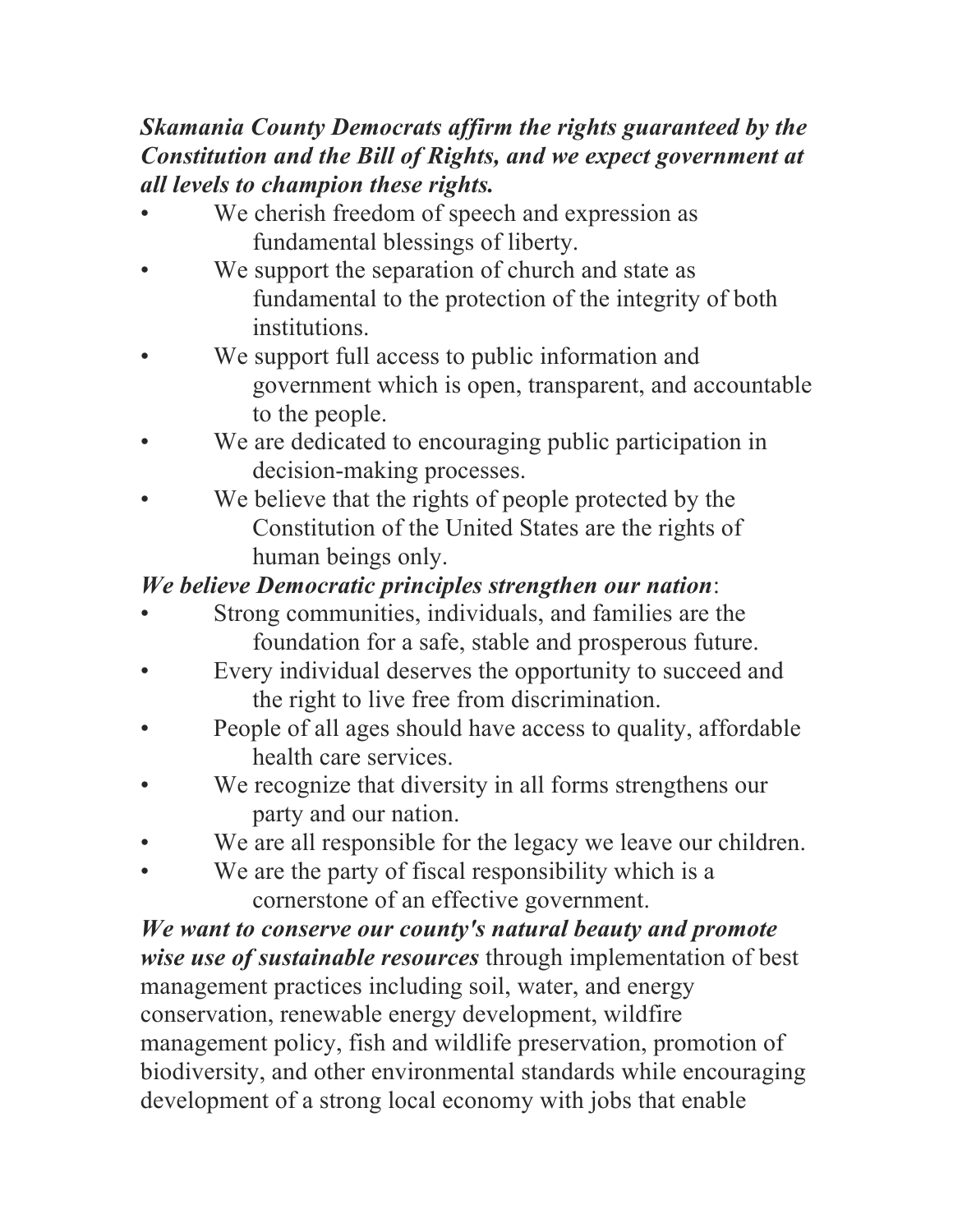## *Skamania County Democrats affirm the rights guaranteed by the Constitution and the Bill of Rights, and we expect government at all levels to champion these rights.*

- We cherish freedom of speech and expression as fundamental blessings of liberty.
- We support the separation of church and state as fundamental to the protection of the integrity of both institutions.
- We support full access to public information and government which is open, transparent, and accountable to the people.
- We are dedicated to encouraging public participation in decision-making processes.
- We believe that the rights of people protected by the Constitution of the United States are the rights of human beings only.

## *We believe Democratic principles strengthen our nation*:

- Strong communities, individuals, and families are the foundation for a safe, stable and prosperous future.
- Every individual deserves the opportunity to succeed and the right to live free from discrimination.
- People of all ages should have access to quality, affordable health care services.
- We recognize that diversity in all forms strengthens our party and our nation.
- We are all responsible for the legacy we leave our children.
- We are the party of fiscal responsibility which is a cornerstone of an effective government.

*We want to conserve our county's natural beauty and promote wise use of sustainable resources* through implementation of best management practices including soil, water, and energy conservation, renewable energy development, wildfire management policy, fish and wildlife preservation, promotion of biodiversity, and other environmental standards while encouraging development of a strong local economy with jobs that enable